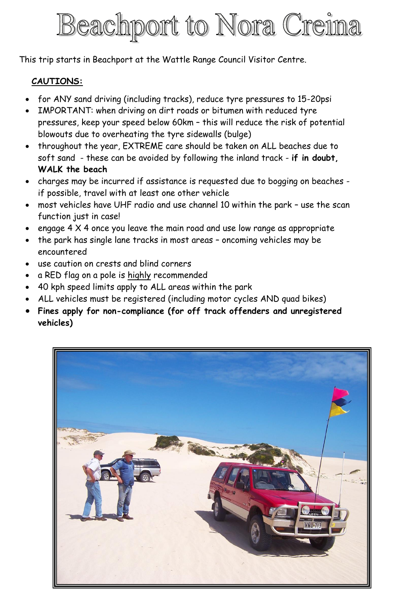## Beachport to Nora Creina

This trip starts in Beachport at the Wattle Range Council Visitor Centre.

## **CAUTIONS:**

- for ANY sand driving (including tracks), reduce tyre pressures to 15-20psi
- IMPORTANT: when driving on dirt roads or bitumen with reduced tyre pressures, keep your speed below 60km – this will reduce the risk of potential blowouts due to overheating the tyre sidewalls (bulge)
- throughout the year, EXTREME care should be taken on ALL beaches due to soft sand - these can be avoided by following the inland track - **if in doubt, WALK the beach**
- charges may be incurred if assistance is requested due to bogging on beaches if possible, travel with at least one other vehicle
- most vehicles have UHF radio and use channel 10 within the park use the scan function just in case!
- engage  $4 \times 4$  once you leave the main road and use low range as appropriate
- the park has single lane tracks in most areas oncoming vehicles may be encountered
- use caution on crests and blind corners
- a RED flag on a pole is highly recommended
- 40 kph speed limits apply to ALL areas within the park
- ALL vehicles must be registered (including motor cycles AND quad bikes)
- **Fines apply for non-compliance (for off track offenders and unregistered vehicles)**

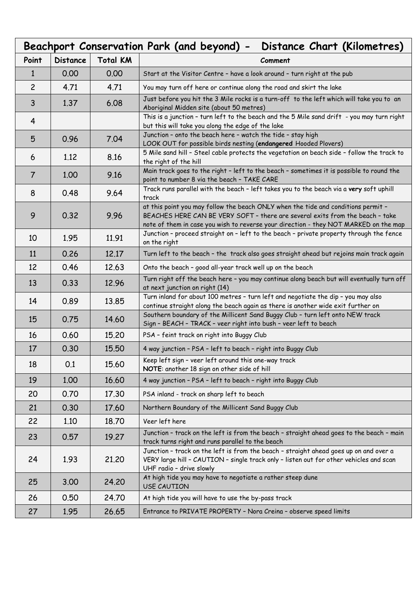| Beachport Conservation Park (and beyond) -<br>Distance Chart (Kilometres) |                 |                 |                                                                                                                                                                                                                                                            |  |
|---------------------------------------------------------------------------|-----------------|-----------------|------------------------------------------------------------------------------------------------------------------------------------------------------------------------------------------------------------------------------------------------------------|--|
| Point                                                                     | <b>Distance</b> | <b>Total KM</b> | Comment                                                                                                                                                                                                                                                    |  |
| 1                                                                         | 0.00            | 0.00            | Start at the Visitor Centre - have a look around - turn right at the pub                                                                                                                                                                                   |  |
| $\overline{c}$                                                            | 4.71            | 4.71            | You may turn off here or continue along the road and skirt the lake                                                                                                                                                                                        |  |
| 3                                                                         | 1.37            | 6.08            | Just before you hit the 3 Mile rocks is a turn-off to the left which will take you to an<br>Aboriginal Midden site (about 50 metres)                                                                                                                       |  |
| 4                                                                         |                 |                 | This is a junction - turn left to the beach and the 5 Mile sand drift - you may turn right<br>but this will take you along the edge of the lake                                                                                                            |  |
| 5                                                                         | 0.96            | 7.04            | Junction - onto the beach here - watch the tide - stay high<br>LOOK OUT for possible birds nesting (endangered Hooded Plovers)                                                                                                                             |  |
| 6                                                                         | 1.12            | 8.16            | 5 Mile sand hill - Steel cable protects the vegetation on beach side - follow the track to<br>the right of the hill                                                                                                                                        |  |
| $\overline{7}$                                                            | 1.00            | 9.16            | Main track goes to the right - left to the beach - sometimes it is possible to round the<br>point to number 8 via the beach - TAKE CARE                                                                                                                    |  |
| 8                                                                         | 0.48            | 9.64            | Track runs parallel with the beach - left takes you to the beach via a very soft uphill<br>track                                                                                                                                                           |  |
| 9                                                                         | 0.32            | 9.96            | at this point you may follow the beach ONLY when the tide and conditions permit -<br>BEACHES HERE CAN BE VERY SOFT - there are several exits from the beach - take<br>note of them in case you wish to reverse your direction - they NOT MARKED on the map |  |
| 10                                                                        | 1.95            | 11.91           | Junction - proceed straight on - left to the beach - private property through the fence<br>on the right                                                                                                                                                    |  |
| 11                                                                        | 0.26            | 12.17           | Turn left to the beach - the track also goes straight ahead but rejoins main track again                                                                                                                                                                   |  |
| 12                                                                        | 0.46            | 12.63           | Onto the beach - good all-year track well up on the beach                                                                                                                                                                                                  |  |
| 13                                                                        | 0.33            | 12.96           | Turn right off the beach here - you may continue along beach but will eventually turn off<br>at next junction on right (14)                                                                                                                                |  |
| 14                                                                        | 0.89            | 13.85           | Turn inland for about 100 metres - turn left and negotiate the dip - you may also<br>continue straight along the beach again as there is another wide exit further on                                                                                      |  |
| 15                                                                        | 0.75            | 14.60           | Southern boundary of the Millicent Sand Buggy Club - turn left onto NEW track<br>Sign - BEACH - TRACK - veer right into bush - veer left to beach                                                                                                          |  |
| 16                                                                        | 0.60            | 15.20           | PSA - feint track on right into Buggy Club                                                                                                                                                                                                                 |  |
| 17                                                                        | 0.30            | 15.50           | 4 way junction - PSA - left to beach - right into Buggy Club                                                                                                                                                                                               |  |
| 18                                                                        | 0.1             | 15.60           | Keep left sign - veer left around this one-way track<br>NOTE: another 18 sign on other side of hill                                                                                                                                                        |  |
| 19                                                                        | 1.00            | 16.60           | 4 way junction - PSA - left to beach - right into Buggy Club                                                                                                                                                                                               |  |
| 20                                                                        | 0.70            | 17.30           | PSA inland - track on sharp left to beach                                                                                                                                                                                                                  |  |
| 21                                                                        | 0.30            | 17.60           | Northern Boundary of the Millicent Sand Buggy Club                                                                                                                                                                                                         |  |
| 22                                                                        | 1.10            | 18.70           | Veer left here                                                                                                                                                                                                                                             |  |
| 23                                                                        | 0.57            | 19.27           | Junction - track on the left is from the beach - straight ahead goes to the beach - main<br>track turns right and runs parallel to the beach                                                                                                               |  |
| 24                                                                        | 1.93            | 21,20           | Junction - track on the left is from the beach - straight ahead goes up on and over a<br>VERY large hill - CAUTION - single track only - listen out for other vehicles and scan<br>UHF radio - drive slowly                                                |  |
| 25                                                                        | 3.00            | 24.20           | At high tide you may have to negotiate a rather steep dune<br><b>USE CAUTION</b>                                                                                                                                                                           |  |
| 26                                                                        | 0.50            | 24.70           | At high tide you will have to use the by-pass track                                                                                                                                                                                                        |  |
| 27                                                                        | 1.95            | 26.65           | Entrance to PRIVATE PROPERTY - Nora Creina - observe speed limits                                                                                                                                                                                          |  |